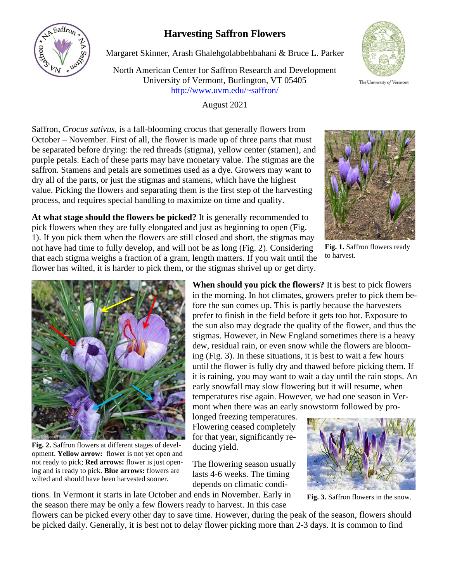## **Harvesting Saffron Flowers**



North American Center for Saffron Research and Development University of Vermont, Burlington, VT 05405 http://www.uvm.edu/~saffron/

August 2021



The University of Vermont

Saffron, *Crocus sativus*, is a fall-blooming crocus that generally flowers from October – November. First of all, the flower is made up of three parts that must be separated before drying: the red threads (stigma), yellow center (stamen), and purple petals. Each of these parts may have monetary value. The stigmas are the saffron. Stamens and petals are sometimes used as a dye. Growers may want to dry all of the parts, or just the stigmas and stamens, which have the highest value. Picking the flowers and separating them is the first step of the harvesting process, and requires special handling to maximize on time and quality.



**Fig. 1.** Saffron flowers ready to harvest.





**Fig. 2.** Saffron flowers at different stages of development. **Yellow arrow:** flower is not yet open and not ready to pick; **Red arrows:** flower is just opening and is ready to pick. **Blue arrows:** flowers are wilted and should have been harvested sooner.

**When should you pick the flowers?** It is best to pick flowers in the morning. In hot climates, growers prefer to pick them before the sun comes up. This is partly because the harvesters prefer to finish in the field before it gets too hot. Exposure to the sun also may degrade the quality of the flower, and thus the stigmas. However, in New England sometimes there is a heavy dew, residual rain, or even snow while the flowers are blooming (Fig. 3). In these situations, it is best to wait a few hours until the flower is fully dry and thawed before picking them. If it is raining, you may want to wait a day until the rain stops. An early snowfall may slow flowering but it will resume, when temperatures rise again. However, we had one season in Vermont when there was an early snowstorm followed by pro-

longed freezing temperatures. Flowering ceased completely for that year, significantly reducing yield.

The flowering season usually lasts 4-6 weeks. The timing depends on climatic conditions. In Vermont it starts in late October and ends in November. Early in



**Fig. 3.** Saffron flowers in the snow.

the season there may be only a few flowers ready to harvest. In this case

flowers can be picked every other day to save time. However, during the peak of the season, flowers should be picked daily. Generally, it is best not to delay flower picking more than 2-3 days. It is common to find